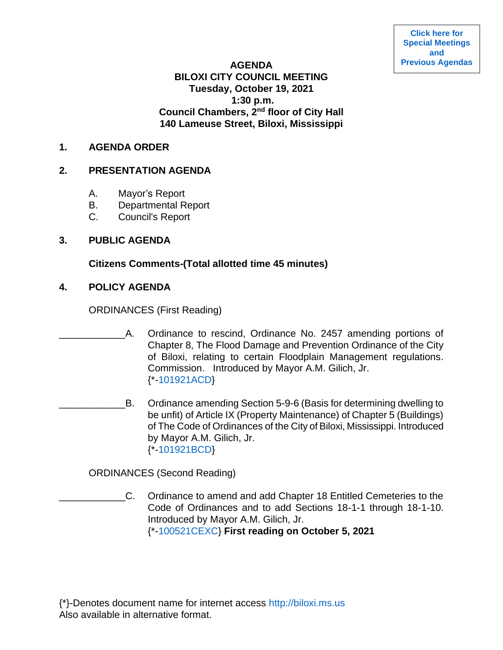**[Click here for](https://www.biloxi.ms.us/category/agendas-city-council/) [Special Meetings](https://www.biloxi.ms.us/category/agendas-city-council/) [and](https://www.biloxi.ms.us/category/agendas-city-council/) [Previous Agendas](https://www.biloxi.ms.us/category/agendas-city-council/)**

### **AGENDA BILOXI CITY COUNCIL MEETING Tuesday, October 19, 2021 1:30 p.m. Council Chambers, 2nd floor of City Hall 140 Lameuse Street, Biloxi, Mississippi**

#### **1. AGENDA ORDER**

### **2. PRESENTATION AGENDA**

- A. Mayor's Report
- B. Departmental Report
- C. Council's Report

### **3. PUBLIC AGENDA**

**Citizens Comments-(Total allotted time 45 minutes)**

**4. POLICY AGENDA**

ORDINANCES (First Reading)

- A. Ordinance to rescind, Ordinance No. 2457 amending portions of Chapter 8, The Flood Damage and Prevention Ordinance of the City of Biloxi, relating to certain Floodplain Management regulations. Commission. Introduced by Mayor A.M. Gilich, Jr. {\*[-101921ACD}](https://www.biloxi.ms.us/agendas/citycouncil/2021/101921/101921acd.pdf)
- B. Ordinance amending Section 5-9-6 (Basis for determining dwelling to be unfit) of Article IX (Property Maintenance) of Chapter 5 (Buildings) of The Code of Ordinances of the City of Biloxi, Mississippi. Introduced by Mayor A.M. Gilich, Jr. {\*[-101921BCD}](https://www.biloxi.ms.us/agendas/citycouncil/2021/101921/101921bcd.pdf)

ORDINANCES (Second Reading)

\_\_\_\_\_\_\_\_\_\_\_\_C. Ordinance to amend and add Chapter 18 Entitled Cemeteries to the Code of Ordinances and to add Sections 18-1-1 through 18-1-10. Introduced by Mayor A.M. Gilich, Jr. {\*[-100521CEXC}](https://www.biloxi.ms.us/agendas/citycouncil/2021/101921/100521cexc.pdf) **First reading on October 5, 2021**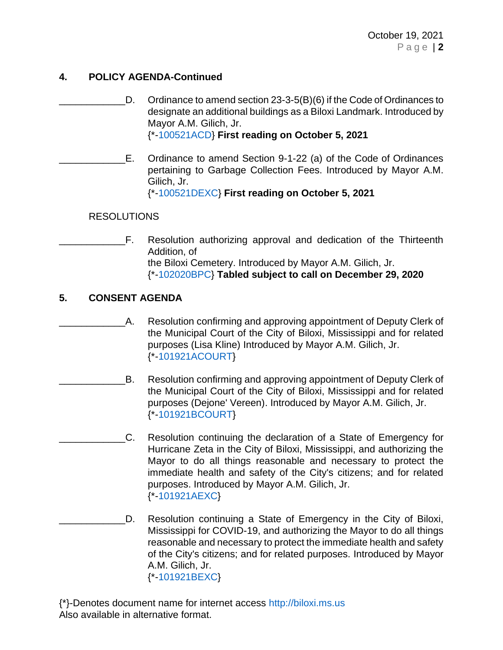# **4. POLICY AGENDA-Continued**

- D. Ordinance to amend section 23-3-5(B)(6) if the Code of Ordinances to designate an additional buildings as a Biloxi Landmark. Introduced by Mayor A.M. Gilich, Jr. {\*[-100521ACD}](https://www.biloxi.ms.us/agendas/citycouncil/2021/101921/100521acd.pdf) **First reading on October 5, 2021**
	- \_\_\_\_\_\_\_\_\_\_\_\_E. Ordinance to amend Section 9-1-22 (a) of the Code of Ordinances pertaining to Garbage Collection Fees. Introduced by Mayor A.M. Gilich, Jr.

{\*[-100521DEXC}](https://www.biloxi.ms.us/agendas/citycouncil/2021/101921/100521dexc.pdf) **First reading on October 5, 2021**

## RESOLUTIONS

F. Resolution authorizing approval and dedication of the Thirteenth Addition, of the Biloxi Cemetery. Introduced by Mayor A.M. Gilich, Jr. {\*[-102020BPC}](https://www.biloxi.ms.us/agendas/citycouncil/2021/101921/102020bpc.pdf) **Tabled subject to call on December 29, 2020**

# **5. CONSENT AGENDA**

- \_\_\_\_\_\_\_\_\_\_\_\_A. Resolution confirming and approving appointment of Deputy Clerk of the Municipal Court of the City of Biloxi, Mississippi and for related purposes (Lisa Kline) Introduced by Mayor A.M. Gilich, Jr. {\*[-101921ACOURT}](https://www.biloxi.ms.us/agendas/citycouncil/2021/101921/101921acourt.pdf)
- B. Resolution confirming and approving appointment of Deputy Clerk of the Municipal Court of the City of Biloxi, Mississippi and for related purposes (Dejone' Vereen). Introduced by Mayor A.M. Gilich, Jr. {\*[-101921BCOURT}](https://www.biloxi.ms.us/agendas/citycouncil/2021/101921/101921bcourt.pdf)
	- \_\_\_\_\_\_\_\_\_\_\_\_C. Resolution continuing the declaration of a State of Emergency for Hurricane Zeta in the City of Biloxi, Mississippi, and authorizing the Mayor to do all things reasonable and necessary to protect the immediate health and safety of the City's citizens; and for related purposes. Introduced by Mayor A.M. Gilich, Jr. {\*[-101921AEXC}](https://www.biloxi.ms.us/agendas/citycouncil/2021/101921/101921aexc.pdf)
- D. Resolution continuing a State of Emergency in the City of Biloxi, Mississippi for COVID-19, and authorizing the Mayor to do all things reasonable and necessary to protect the immediate health and safety of the City's citizens; and for related purposes. Introduced by Mayor A.M. Gilich, Jr. {\*[-101921BEXC}](https://www.biloxi.ms.us/agendas/citycouncil/2021/101921/101921bexc.pdf)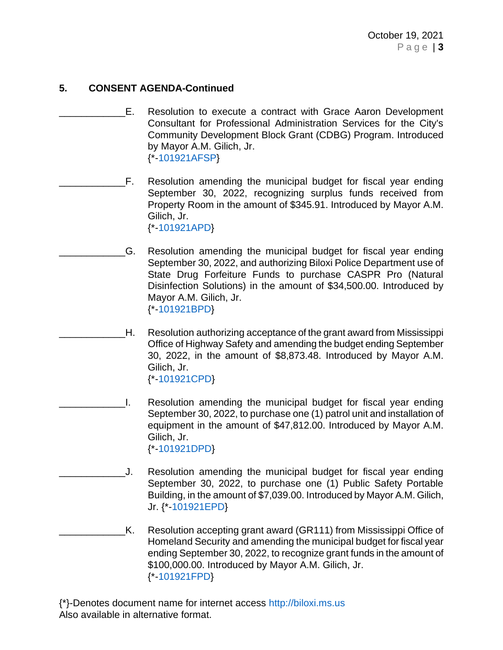- E. Resolution to execute a contract with Grace Aaron Development Consultant for Professional Administration Services for the City's Community Development Block Grant (CDBG) Program. Introduced by Mayor A.M. Gilich, Jr. {\*[-101921AFSP}](https://www.biloxi.ms.us/agendas/citycouncil/2021/101921/101921afsp.pdf)
- F. Resolution amending the municipal budget for fiscal year ending September 30, 2022, recognizing surplus funds received from Property Room in the amount of \$345.91. Introduced by Mayor A.M. Gilich, Jr. {\*[-101921APD}](https://www.biloxi.ms.us/agendas/citycouncil/2021/101921/101921apd.pdf)
	- \_\_\_\_\_\_\_\_\_\_\_\_G. Resolution amending the municipal budget for fiscal year ending September 30, 2022, and authorizing Biloxi Police Department use of State Drug Forfeiture Funds to purchase CASPR Pro (Natural Disinfection Solutions) in the amount of \$34,500.00. Introduced by Mayor A.M. Gilich, Jr. {\*[-101921BPD}](https://www.biloxi.ms.us/agendas/citycouncil/2021/101921/101921bpd.pdf)
		- \_\_\_\_\_\_\_\_\_\_\_\_H. Resolution authorizing acceptance of the grant award from Mississippi Office of Highway Safety and amending the budget ending September 30, 2022, in the amount of \$8,873.48. Introduced by Mayor A.M. Gilich, Jr. {\*[-101921CPD}](https://www.biloxi.ms.us/agendas/citycouncil/2021/101921/101921cpd.pdf)
	- \_\_\_\_\_\_\_\_\_\_\_\_I. Resolution amending the municipal budget for fiscal year ending September 30, 2022, to purchase one (1) patrol unit and installation of equipment in the amount of \$47,812.00. Introduced by Mayor A.M. Gilich, Jr. {\*[-101921DPD}](https://www.biloxi.ms.us/agendas/citycouncil/2021/101921/101921dpd.pdf)
		- \_\_\_\_\_\_\_\_\_\_\_\_J. Resolution amending the municipal budget for fiscal year ending September 30, 2022, to purchase one (1) Public Safety Portable Building, in the amount of \$7,039.00. Introduced by Mayor A.M. Gilich, Jr. {\*[-101921EPD}](https://www.biloxi.ms.us/agendas/citycouncil/2021/101921/101921epd.pdf)
- K. Resolution accepting grant award (GR111) from Mississippi Office of Homeland Security and amending the municipal budget for fiscal year ending September 30, 2022, to recognize grant funds in the amount of \$100,000.00. Introduced by Mayor A.M. Gilich, Jr. {\*[-101921FPD}](https://www.biloxi.ms.us/agendas/citycouncil/2021/101921/101921fpd.pdf)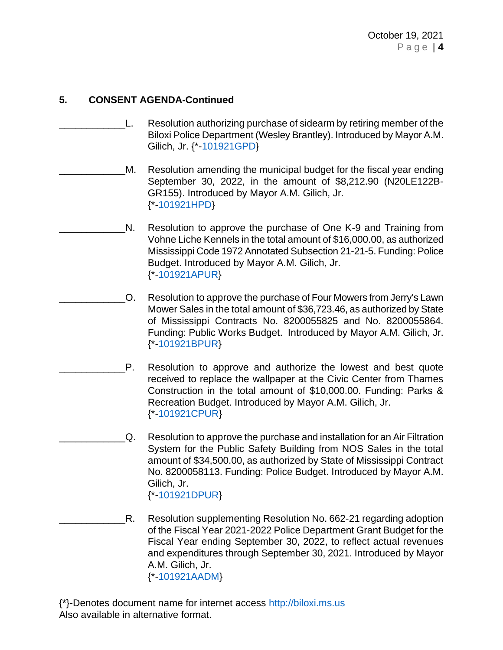- \_\_\_\_\_\_\_\_\_\_\_\_L. Resolution authorizing purchase of sidearm by retiring member of the Biloxi Police Department (Wesley Brantley). Introduced by Mayor A.M. Gilich, Jr. {\*[-101921GPD}](https://www.biloxi.ms.us/agendas/citycouncil/2021/101921/101921gpd.pdf)
- M. Resolution amending the municipal budget for the fiscal year ending September 30, 2022, in the amount of \$8,212.90 (N20LE122B-GR155). Introduced by Mayor A.M. Gilich, Jr. {\*[-101921HPD}](https://www.biloxi.ms.us/agendas/citycouncil/2021/101921/101921hpd.pdf)
- N. Resolution to approve the purchase of One K-9 and Training from Vohne Liche Kennels in the total amount of \$16,000.00, as authorized Mississippi Code 1972 Annotated Subsection 21-21-5. Funding: Police Budget. Introduced by Mayor A.M. Gilich, Jr. {\*[-101921APUR}](https://www.biloxi.ms.us/agendas/citycouncil/2021/101921/101921apur.pdf)
- \_\_\_\_\_\_\_\_\_\_\_\_O. Resolution to approve the purchase of Four Mowers from Jerry's Lawn Mower Sales in the total amount of \$36,723.46, as authorized by State of Mississippi Contracts No. 8200055825 and No. 8200055864. Funding: Public Works Budget. Introduced by Mayor A.M. Gilich, Jr. {\*[-101921BPUR}](https://www.biloxi.ms.us/agendas/citycouncil/2021/101921/101921bpur.pdf)
- P. Resolution to approve and authorize the lowest and best quote received to replace the wallpaper at the Civic Center from Thames Construction in the total amount of \$10,000.00. Funding: Parks & Recreation Budget. Introduced by Mayor A.M. Gilich, Jr. {\*[-101921CPUR}](https://www.biloxi.ms.us/agendas/citycouncil/2021/101921/101921cpur.pdf)
	- \_\_\_\_\_\_\_\_\_\_\_\_Q. Resolution to approve the purchase and installation for an Air Filtration System for the Public Safety Building from NOS Sales in the total amount of \$34,500.00, as authorized by State of Mississippi Contract No. 8200058113. Funding: Police Budget. Introduced by Mayor A.M. Gilich, Jr. {\*[-101921DPUR}](https://www.biloxi.ms.us/agendas/citycouncil/2021/101921/101921dpur.pdf)
- R. Resolution supplementing Resolution No. 662-21 regarding adoption of the Fiscal Year 2021-2022 Police Department Grant Budget for the Fiscal Year ending September 30, 2022, to reflect actual revenues and expenditures through September 30, 2021. Introduced by Mayor A.M. Gilich, Jr. {\*[-101921AADM}](https://www.biloxi.ms.us/agendas/citycouncil/2021/101921/101921aadm.pdf)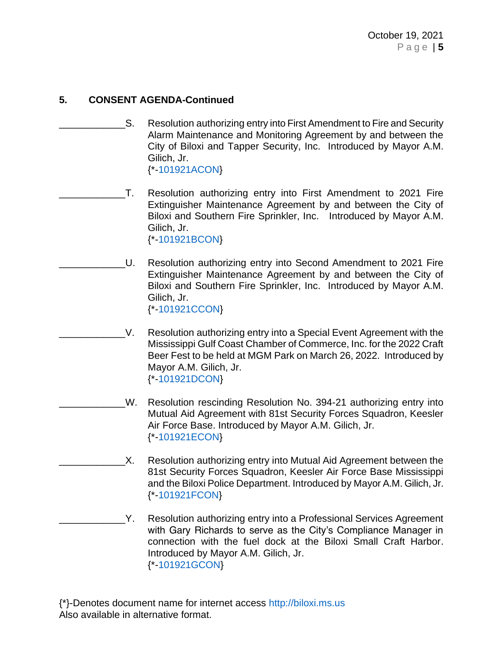- \_\_\_\_\_\_\_\_\_\_\_\_S. Resolution authorizing entry into First Amendment to Fire and Security Alarm Maintenance and Monitoring Agreement by and between the City of Biloxi and Tapper Security, Inc. Introduced by Mayor A.M. Gilich, Jr. {\*[-101921ACON}](https://www.biloxi.ms.us/agendas/citycouncil/2021/101921/101921acon.pdf)
- \_\_\_\_\_\_\_\_\_\_\_\_T. Resolution authorizing entry into First Amendment to 2021 Fire Extinguisher Maintenance Agreement by and between the City of Biloxi and Southern Fire Sprinkler, Inc. Introduced by Mayor A.M. Gilich, Jr. {\*[-101921BCON}](https://www.biloxi.ms.us/agendas/citycouncil/2021/101921/101921bcon.pdf)
	- U. Resolution authorizing entry into Second Amendment to 2021 Fire Extinguisher Maintenance Agreement by and between the City of Biloxi and Southern Fire Sprinkler, Inc. Introduced by Mayor A.M. Gilich, Jr. {\*[-101921CCON}](https://www.biloxi.ms.us/agendas/citycouncil/2021/101921/101921ccon.pdf)
		- \_\_\_\_\_\_\_\_\_\_\_\_V. Resolution authorizing entry into a Special Event Agreement with the Mississippi Gulf Coast Chamber of Commerce, Inc. for the 2022 Craft Beer Fest to be held at MGM Park on March 26, 2022. Introduced by Mayor A.M. Gilich, Jr. {\*[-101921DCON}](https://www.biloxi.ms.us/agendas/citycouncil/2021/101921/101921dcon.pdf)
		- W. Resolution rescinding Resolution No. 394-21 authorizing entry into Mutual Aid Agreement with 81st Security Forces Squadron, Keesler Air Force Base. Introduced by Mayor A.M. Gilich, Jr. {\*[-101921ECON}](https://www.biloxi.ms.us/agendas/citycouncil/2021/101921/101921econ.pdf)
- X. Resolution authorizing entry into Mutual Aid Agreement between the 81st Security Forces Squadron, Keesler Air Force Base Mississippi and the Biloxi Police Department. Introduced by Mayor A.M. Gilich, Jr. {\*[-101921FCON}](https://www.biloxi.ms.us/agendas/citycouncil/2021/101921/101921fcon.pdf)
- Y. Resolution authorizing entry into a Professional Services Agreement with Gary Richards to serve as the City's Compliance Manager in connection with the fuel dock at the Biloxi Small Craft Harbor. Introduced by Mayor A.M. Gilich, Jr. {\*[-101921GCON}](https://www.biloxi.ms.us/agendas/citycouncil/2021/101921/101921gcon.pdf)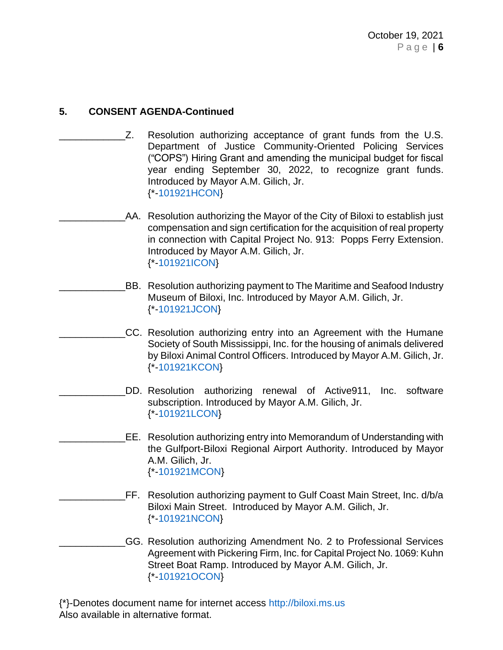- Z. Resolution authorizing acceptance of grant funds from the U.S. Department of Justice Community-Oriented Policing Services ("COPS") Hiring Grant and amending the municipal budget for fiscal year ending September 30, 2022, to recognize grant funds. Introduced by Mayor A.M. Gilich, Jr. {\*[-101921HCON}](https://www.biloxi.ms.us/agendas/citycouncil/2021/101921/101921hcon.pdf)
	- AA. Resolution authorizing the Mayor of the City of Biloxi to establish just compensation and sign certification for the acquisition of real property in connection with Capital Project No. 913: Popps Ferry Extension. Introduced by Mayor A.M. Gilich, Jr. {\*[-101921ICON}](https://www.biloxi.ms.us/agendas/citycouncil/2021/101921/101921icon.pdf)
- BB. Resolution authorizing payment to The Maritime and Seafood Industry Museum of Biloxi, Inc. Introduced by Mayor A.M. Gilich, Jr. {\*[-101921JCON}](https://www.biloxi.ms.us/agendas/citycouncil/2021/101921/101921jcon.pdf)
	- CC. Resolution authorizing entry into an Agreement with the Humane Society of South Mississippi, Inc. for the housing of animals delivered by Biloxi Animal Control Officers. Introduced by Mayor A.M. Gilich, Jr. {\*[-101921KCON}](https://www.biloxi.ms.us/agendas/citycouncil/2021/101921/101921kcon.pdf)
	- \_\_\_\_\_\_\_\_\_\_\_\_DD. Resolution authorizing renewal of Active911, Inc. software subscription. Introduced by Mayor A.M. Gilich, Jr. {\*[-101921LCON}](https://www.biloxi.ms.us/agendas/citycouncil/2021/101921/101921lcon.pdf)
		- \_\_\_\_\_\_\_\_\_\_\_\_EE. Resolution authorizing entry into Memorandum of Understanding with the Gulfport-Biloxi Regional Airport Authority. Introduced by Mayor A.M. Gilich, Jr. {\*[-101921MCON}](https://www.biloxi.ms.us/agendas/citycouncil/2021/101921/101921mcon.pdf)
	- \_\_\_\_\_\_\_\_\_\_\_\_FF. Resolution authorizing payment to Gulf Coast Main Street, Inc. d/b/a Biloxi Main Street. Introduced by Mayor A.M. Gilich, Jr. {\*[-101921NCON}](https://www.biloxi.ms.us/agendas/citycouncil/2021/101921/101921ncon.pdf)
- \_\_\_\_\_\_\_\_\_\_\_\_GG. Resolution authorizing Amendment No. 2 to Professional Services Agreement with Pickering Firm, Inc. for Capital Project No. 1069: Kuhn Street Boat Ramp. Introduced by Mayor A.M. Gilich, Jr. {\*[-101921OCON}](https://www.biloxi.ms.us/agendas/citycouncil/2021/101921/101921ocon.pdf)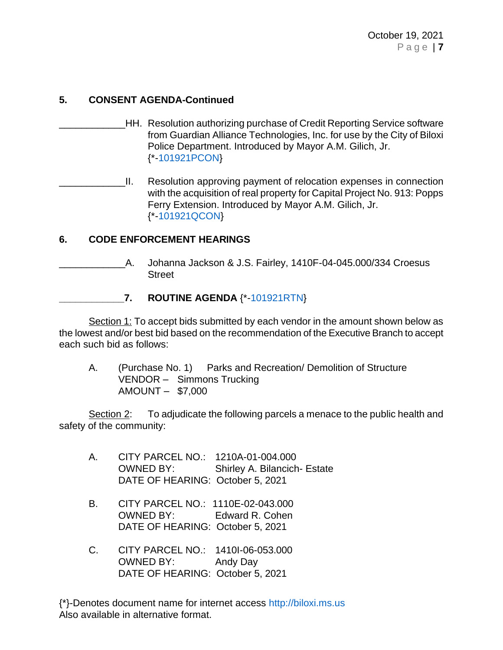- \_\_\_\_\_\_\_\_\_\_\_\_HH. Resolution authorizing purchase of Credit Reporting Service software from Guardian Alliance Technologies, Inc. for use by the City of Biloxi Police Department. Introduced by Mayor A.M. Gilich, Jr. {\*[-101921PCON}](https://www.biloxi.ms.us/agendas/citycouncil/2021/101921/101921pcon.pdf)
- II. Resolution approving payment of relocation expenses in connection with the acquisition of real property for Capital Project No. 913: Popps Ferry Extension. Introduced by Mayor A.M. Gilich, Jr. {\*[-101921QCON}](https://www.biloxi.ms.us/agendas/citycouncil/2021/101921/101921qcon.pdf)

### **6. CODE ENFORCEMENT HEARINGS**

\_\_\_\_\_\_\_\_\_\_\_\_A. Johanna Jackson & J.S. Fairley, 1410F-04-045.000/334 Croesus Street

### **\_\_\_\_\_\_\_\_\_\_\_\_7. ROUTINE AGENDA** {\*[-101921RTN}](https://www.biloxi.ms.us/agendas/citycouncil/2021/101921/101921rtn.pdf)

Section 1: To accept bids submitted by each vendor in the amount shown below as the lowest and/or best bid based on the recommendation of the Executive Branch to accept each such bid as follows:

A. (Purchase No. 1) Parks and Recreation/ Demolition of Structure VENDOR – Simmons Trucking AMOUNT – \$7,000

Section 2: To adjudicate the following parcels a menace to the public health and safety of the community:

- A. CITY PARCEL NO.: 1210A-01-004.000 OWNED BY: Shirley A. Bilancich- Estate DATE OF HEARING: October 5, 2021
- B. CITY PARCEL NO.: 1110E-02-043.000 OWNED BY: Edward R. Cohen DATE OF HEARING: October 5, 2021
- C. CITY PARCEL NO.: 1410I-06-053.000 OWNED BY: Andy Day DATE OF HEARING: October 5, 2021